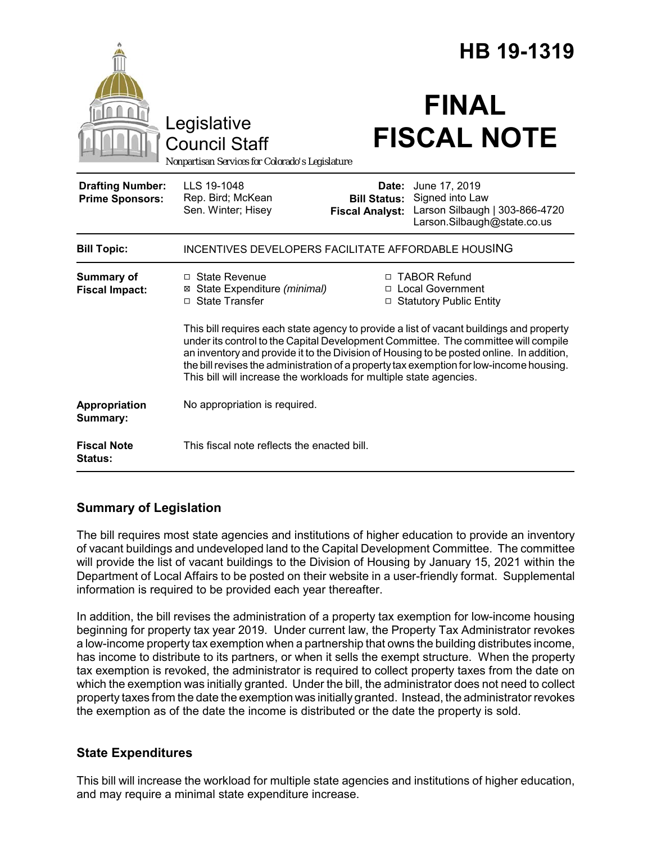|                                                   |                                                                                                                                                                                                                                                                                                                                                                                                                                            | HB 19-1319                                                        |                                                                                                         |
|---------------------------------------------------|--------------------------------------------------------------------------------------------------------------------------------------------------------------------------------------------------------------------------------------------------------------------------------------------------------------------------------------------------------------------------------------------------------------------------------------------|-------------------------------------------------------------------|---------------------------------------------------------------------------------------------------------|
|                                                   | Legislative<br><b>Council Staff</b><br>Nonpartisan Services for Colorado's Legislature                                                                                                                                                                                                                                                                                                                                                     |                                                                   | <b>FINAL</b><br><b>FISCAL NOTE</b>                                                                      |
| <b>Drafting Number:</b><br><b>Prime Sponsors:</b> | LLS 19-1048<br>Rep. Bird; McKean<br>Sen. Winter; Hisey                                                                                                                                                                                                                                                                                                                                                                                     | <b>Bill Status:</b><br><b>Fiscal Analyst:</b>                     | Date: June 17, 2019<br>Signed into Law<br>Larson Silbaugh   303-866-4720<br>Larson.Silbaugh@state.co.us |
| <b>Bill Topic:</b>                                | INCENTIVES DEVELOPERS FACILITATE AFFORDABLE HOUSING                                                                                                                                                                                                                                                                                                                                                                                        |                                                                   |                                                                                                         |
| <b>Summary of</b><br><b>Fiscal Impact:</b>        | □ State Revenue<br>⊠ State Expenditure (minimal)<br>□ State Transfer                                                                                                                                                                                                                                                                                                                                                                       | □ TABOR Refund<br>□ Local Government<br>□ Statutory Public Entity |                                                                                                         |
|                                                   | This bill requires each state agency to provide a list of vacant buildings and property<br>under its control to the Capital Development Committee. The committee will compile<br>an inventory and provide it to the Division of Housing to be posted online. In addition,<br>the bill revises the administration of a property tax exemption for low-income housing.<br>This bill will increase the workloads for multiple state agencies. |                                                                   |                                                                                                         |
| Appropriation<br>Summary:                         | No appropriation is required.                                                                                                                                                                                                                                                                                                                                                                                                              |                                                                   |                                                                                                         |
| <b>Fiscal Note</b><br><b>Status:</b>              | This fiscal note reflects the enacted bill.                                                                                                                                                                                                                                                                                                                                                                                                |                                                                   |                                                                                                         |

## **Summary of Legislation**

The bill requires most state agencies and institutions of higher education to provide an inventory of vacant buildings and undeveloped land to the Capital Development Committee. The committee will provide the list of vacant buildings to the Division of Housing by January 15, 2021 within the Department of Local Affairs to be posted on their website in a user-friendly format. Supplemental information is required to be provided each year thereafter.

In addition, the bill revises the administration of a property tax exemption for low-income housing beginning for property tax year 2019. Under current law, the Property Tax Administrator revokes a low-income property tax exemption when a partnership that owns the building distributes income, has income to distribute to its partners, or when it sells the exempt structure. When the property tax exemption is revoked, the administrator is required to collect property taxes from the date on which the exemption was initially granted. Under the bill, the administrator does not need to collect property taxes from the date the exemption was initially granted. Instead, the administrator revokes the exemption as of the date the income is distributed or the date the property is sold.

## **State Expenditures**

This bill will increase the workload for multiple state agencies and institutions of higher education, and may require a minimal state expenditure increase.